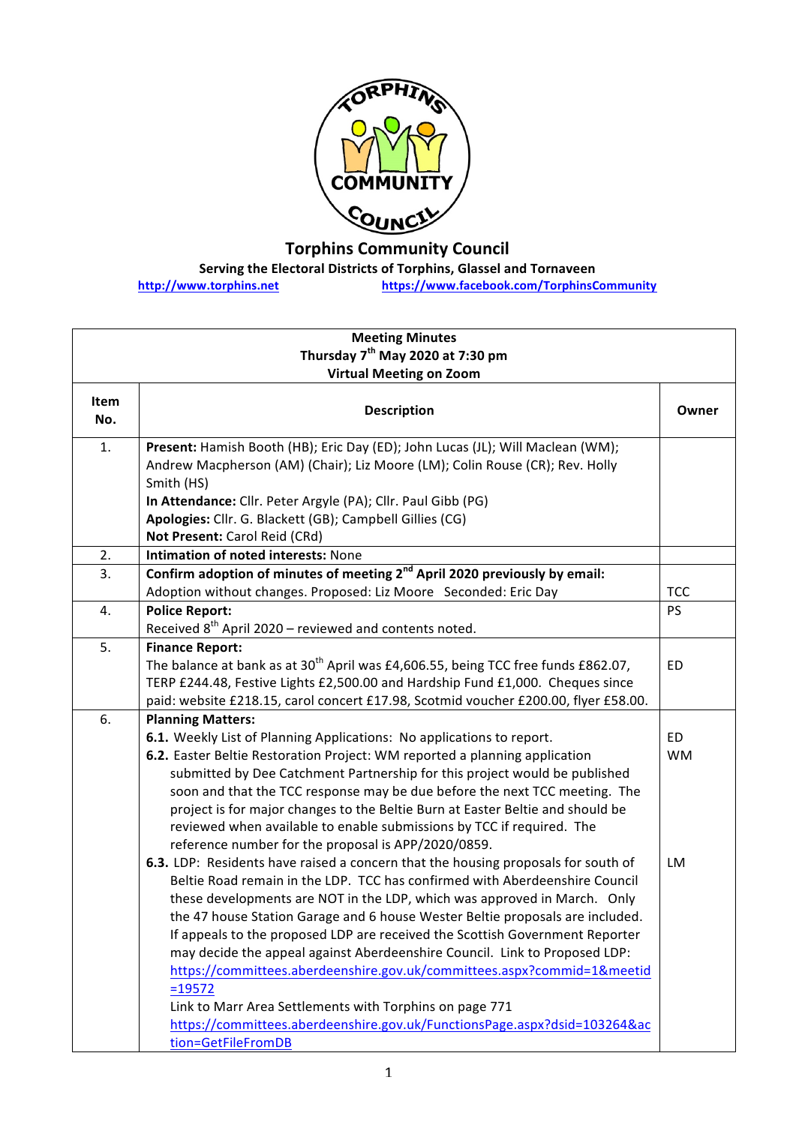

**Torphins Community Council**

**Serving the Electoral Districts of Torphins, Glassel and Tornaveen** 

**http://www.torphins.net https://www.facebook.com/TorphinsCommunity**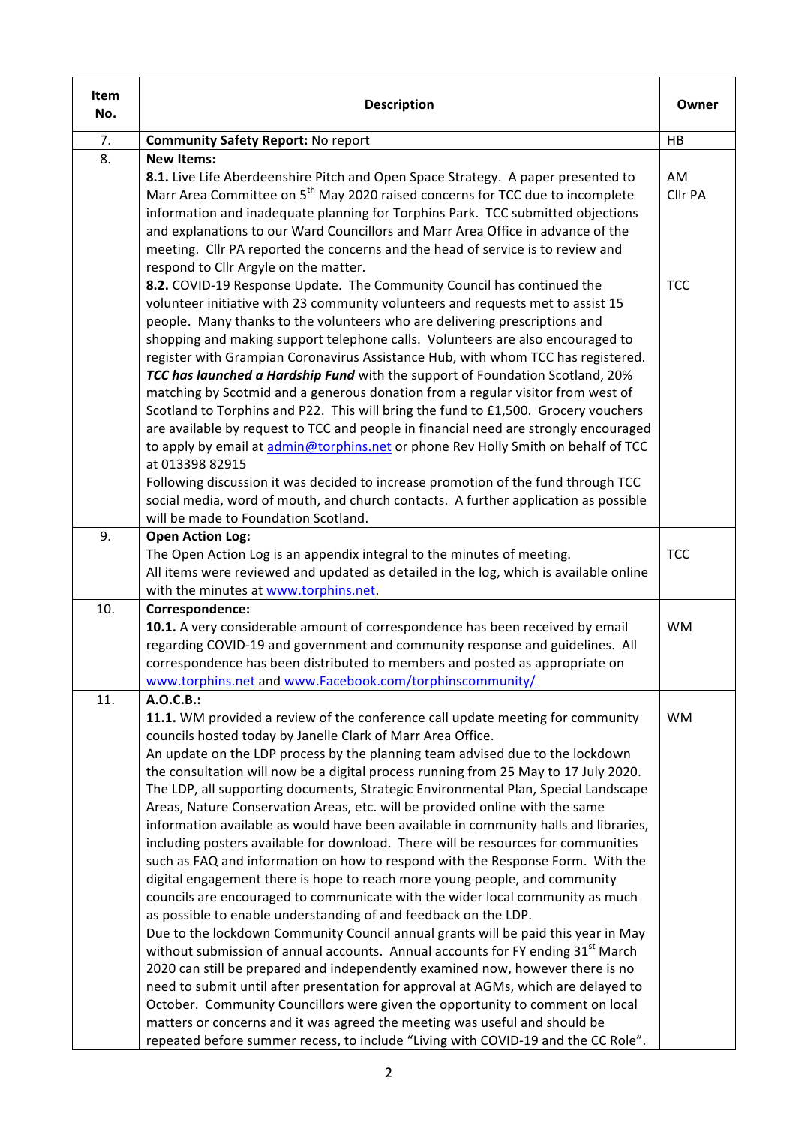| Item<br>No. | <b>Description</b>                                                                                                                                                                                                                                                                                                                                                                                                                                                                                                                                                                                                                                                                                                                                                                                                                                                                                                                                                                                                                                                                                                                                                                                                                                                                                                                                                                                                                                                                                                                                                                                                        | Owner         |
|-------------|---------------------------------------------------------------------------------------------------------------------------------------------------------------------------------------------------------------------------------------------------------------------------------------------------------------------------------------------------------------------------------------------------------------------------------------------------------------------------------------------------------------------------------------------------------------------------------------------------------------------------------------------------------------------------------------------------------------------------------------------------------------------------------------------------------------------------------------------------------------------------------------------------------------------------------------------------------------------------------------------------------------------------------------------------------------------------------------------------------------------------------------------------------------------------------------------------------------------------------------------------------------------------------------------------------------------------------------------------------------------------------------------------------------------------------------------------------------------------------------------------------------------------------------------------------------------------------------------------------------------------|---------------|
| 7.          | <b>Community Safety Report: No report</b>                                                                                                                                                                                                                                                                                                                                                                                                                                                                                                                                                                                                                                                                                                                                                                                                                                                                                                                                                                                                                                                                                                                                                                                                                                                                                                                                                                                                                                                                                                                                                                                 | HB            |
| 8.          | <b>New Items:</b><br>8.1. Live Life Aberdeenshire Pitch and Open Space Strategy. A paper presented to<br>Marr Area Committee on 5 <sup>th</sup> May 2020 raised concerns for TCC due to incomplete<br>information and inadequate planning for Torphins Park. TCC submitted objections<br>and explanations to our Ward Councillors and Marr Area Office in advance of the<br>meeting. Cllr PA reported the concerns and the head of service is to review and                                                                                                                                                                                                                                                                                                                                                                                                                                                                                                                                                                                                                                                                                                                                                                                                                                                                                                                                                                                                                                                                                                                                                               | AM<br>Cllr PA |
|             | respond to Cllr Argyle on the matter.<br>8.2. COVID-19 Response Update. The Community Council has continued the<br>volunteer initiative with 23 community volunteers and requests met to assist 15<br>people. Many thanks to the volunteers who are delivering prescriptions and<br>shopping and making support telephone calls. Volunteers are also encouraged to<br>register with Grampian Coronavirus Assistance Hub, with whom TCC has registered.<br>TCC has launched a Hardship Fund with the support of Foundation Scotland, 20%<br>matching by Scotmid and a generous donation from a regular visitor from west of<br>Scotland to Torphins and P22. This will bring the fund to £1,500. Grocery vouchers<br>are available by request to TCC and people in financial need are strongly encouraged<br>to apply by email at admin@torphins.net or phone Rev Holly Smith on behalf of TCC<br>at 013398 82915<br>Following discussion it was decided to increase promotion of the fund through TCC<br>social media, word of mouth, and church contacts. A further application as possible                                                                                                                                                                                                                                                                                                                                                                                                                                                                                                                              | <b>TCC</b>    |
|             | will be made to Foundation Scotland.                                                                                                                                                                                                                                                                                                                                                                                                                                                                                                                                                                                                                                                                                                                                                                                                                                                                                                                                                                                                                                                                                                                                                                                                                                                                                                                                                                                                                                                                                                                                                                                      |               |
| 9.          | <b>Open Action Log:</b><br>The Open Action Log is an appendix integral to the minutes of meeting.<br>All items were reviewed and updated as detailed in the log, which is available online<br>with the minutes at www.torphins.net.                                                                                                                                                                                                                                                                                                                                                                                                                                                                                                                                                                                                                                                                                                                                                                                                                                                                                                                                                                                                                                                                                                                                                                                                                                                                                                                                                                                       | <b>TCC</b>    |
| 10.         | Correspondence:<br>10.1. A very considerable amount of correspondence has been received by email<br>regarding COVID-19 and government and community response and guidelines. All<br>correspondence has been distributed to members and posted as appropriate on<br>www.torphins.net and www.Facebook.com/torphinscommunity/                                                                                                                                                                                                                                                                                                                                                                                                                                                                                                                                                                                                                                                                                                                                                                                                                                                                                                                                                                                                                                                                                                                                                                                                                                                                                               | <b>WM</b>     |
| 11.         | A.O.C.B.:<br>11.1. WM provided a review of the conference call update meeting for community<br>councils hosted today by Janelle Clark of Marr Area Office.<br>An update on the LDP process by the planning team advised due to the lockdown<br>the consultation will now be a digital process running from 25 May to 17 July 2020.<br>The LDP, all supporting documents, Strategic Environmental Plan, Special Landscape<br>Areas, Nature Conservation Areas, etc. will be provided online with the same<br>information available as would have been available in community halls and libraries,<br>including posters available for download. There will be resources for communities<br>such as FAQ and information on how to respond with the Response Form. With the<br>digital engagement there is hope to reach more young people, and community<br>councils are encouraged to communicate with the wider local community as much<br>as possible to enable understanding of and feedback on the LDP.<br>Due to the lockdown Community Council annual grants will be paid this year in May<br>without submission of annual accounts. Annual accounts for FY ending 31 <sup>st</sup> March<br>2020 can still be prepared and independently examined now, however there is no<br>need to submit until after presentation for approval at AGMs, which are delayed to<br>October. Community Councillors were given the opportunity to comment on local<br>matters or concerns and it was agreed the meeting was useful and should be<br>repeated before summer recess, to include "Living with COVID-19 and the CC Role". | <b>WM</b>     |